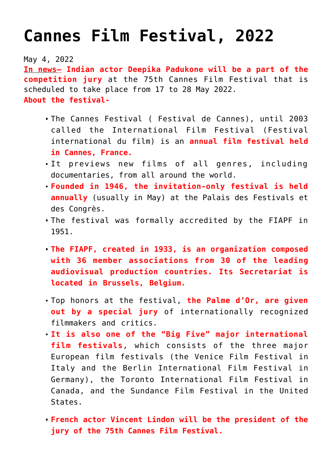## **[Cannes Film Festival, 2022](https://journalsofindia.com/cannes-film-festival-2022/)**

May 4, 2022

**In news– Indian actor Deepika Padukone will be a part of the competition jury** at the 75th Cannes Film Festival that is scheduled to take place from 17 to 28 May 2022. **About the festival-**

- The Cannes Festival ( Festival de Cannes), until 2003 called the International Film Festival (Festival international du film) is an **annual film festival held in Cannes, France.**
- It previews new films of all genres, including documentaries, from all around the world.
- **Founded in 1946, the invitation-only festival is held annually** (usually in May) at the Palais des Festivals et des Congrès.
- The festival was formally accredited by the FIAPF in 1951.
- **The FIAPF, created in 1933, is an organization composed with 36 member associations from 30 of the leading audiovisual production countries. Its Secretariat is located in Brussels, Belgium.**
- Top honors at the festival, **the Palme d'Or, are given out by a special jury** of internationally recognized filmmakers and critics.
- **It is also one of the "Big Five" major international film festivals**, which consists of the three major European film festivals (the Venice Film Festival in Italy and the Berlin International Film Festival in Germany), the Toronto International Film Festival in Canada, and the Sundance Film Festival in the United States.
- **French actor Vincent Lindon will be the president of the jury of the 75th Cannes Film Festival.**